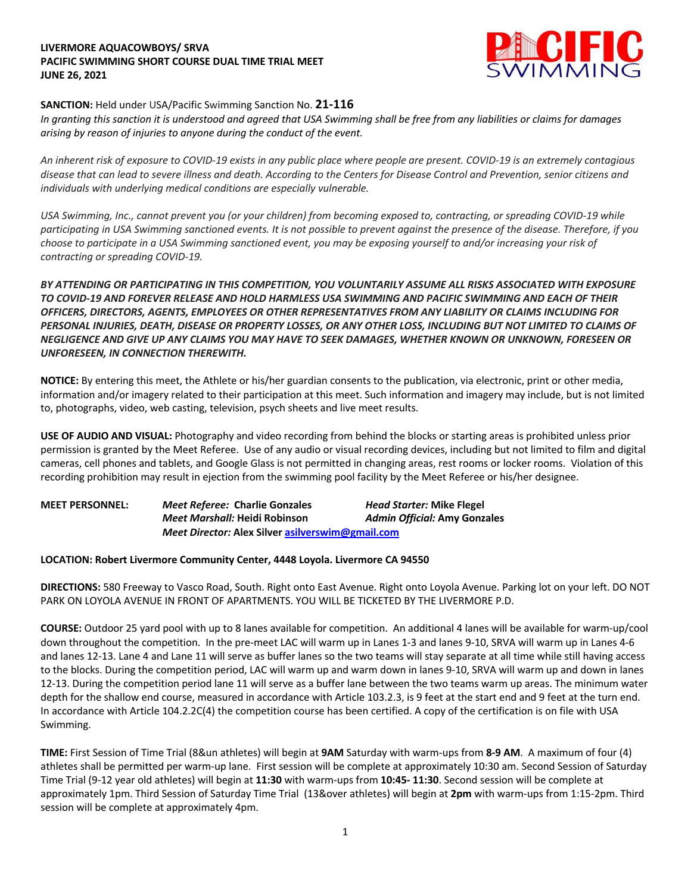## **LIVERMORE AQUACOWBOYS/ SRVA PACIFIC SWIMMING SHORT COURSE DUAL TIME TRIAL MEET JUNE 26, 2021**



## **SANCTION:** Held under USA/Pacific Swimming Sanction No. **21-116**

*In granting this sanction it is understood and agreed that USA Swimming shall be free from any liabilities or claims for damages arising by reason of injuries to anyone during the conduct of the event.*

*An inherent risk of exposure to COVID-19 exists in any public place where people are present. COVID-19 is an extremely contagious disease that can lead to severe illness and death. According to the Centers for Disease Control and Prevention, senior citizens and individuals with underlying medical conditions are especially vulnerable.*

*USA Swimming, Inc., cannot prevent you (or your children) from becoming exposed to, contracting, or spreading COVID-19 while participating in USA Swimming sanctioned events. It is not possible to prevent against the presence of the disease. Therefore, if you choose to participate in a USA Swimming sanctioned event, you may be exposing yourself to and/or increasing your risk of contracting or spreading COVID-19.*

*BY ATTENDING OR PARTICIPATING IN THIS COMPETITION, YOU VOLUNTARILY ASSUME ALL RISKS ASSOCIATED WITH EXPOSURE TO COVID-19 AND FOREVER RELEASE AND HOLD HARMLESS USA SWIMMING AND PACIFIC SWIMMING AND EACH OF THEIR OFFICERS, DIRECTORS, AGENTS, EMPLOYEES OR OTHER REPRESENTATIVES FROM ANY LIABILITY OR CLAIMS INCLUDING FOR PERSONAL INJURIES, DEATH, DISEASE OR PROPERTY LOSSES, OR ANY OTHER LOSS, INCLUDING BUT NOT LIMITED TO CLAIMS OF NEGLIGENCE AND GIVE UP ANY CLAIMS YOU MAY HAVE TO SEEK DAMAGES, WHETHER KNOWN OR UNKNOWN, FORESEEN OR UNFORESEEN, IN CONNECTION THEREWITH.*

**NOTICE:** By entering this meet, the Athlete or his/her guardian consents to the publication, via electronic, print or other media, information and/or imagery related to their participation at this meet. Such information and imagery may include, but is not limited to, photographs, video, web casting, television, psych sheets and live meet results.

**USE OF AUDIO AND VISUAL:** Photography and video recording from behind the blocks or starting areas is prohibited unless prior permission is granted by the Meet Referee. Use of any audio or visual recording devices, including but not limited to film and digital cameras, cell phones and tablets, and Google Glass is not permitted in changing areas, rest rooms or locker rooms. Violation of this recording prohibition may result in ejection from the swimming pool facility by the Meet Referee or his/her designee.

| <b>MEET PERSONNEL:</b> | <i>Meet Referee: Charlie Gonzales</i>            | <b>Head Starter: Mike Flegel</b>    |
|------------------------|--------------------------------------------------|-------------------------------------|
|                        | Meet Marshall: Heidi Robinson                    | <b>Admin Official: Amy Gonzales</b> |
|                        | Meet Director: Alex Silver asilverswim@gmail.com |                                     |

## **LOCATION: Robert Livermore Community Center, 4448 Loyola. Livermore CA 94550**

**DIRECTIONS:** 580 Freeway to Vasco Road, South. Right onto East Avenue. Right onto Loyola Avenue. Parking lot on your left. DO NOT PARK ON LOYOLA AVENUE IN FRONT OF APARTMENTS. YOU WILL BE TICKETED BY THE LIVERMORE P.D.

**COURSE:** Outdoor 25 yard pool with up to 8 lanes available for competition. An additional 4 lanes will be available for warm-up/cool down throughout the competition. In the pre-meet LAC will warm up in Lanes 1-3 and lanes 9-10, SRVA will warm up in Lanes 4-6 and lanes 12-13. Lane 4 and Lane 11 will serve as buffer lanes so the two teams will stay separate at all time while still having access to the blocks. During the competition period, LAC will warm up and warm down in lanes 9-10, SRVA will warm up and down in lanes 12-13. During the competition period lane 11 will serve as a buffer lane between the two teams warm up areas. The minimum water depth for the shallow end course, measured in accordance with Article 103.2.3, is 9 feet at the start end and 9 feet at the turn end. In accordance with Article 104.2.2C(4) the competition course has been certified. A copy of the certification is on file with USA Swimming.

**TIME:** First Session of Time Trial (8&un athletes) will begin at **9AM** Saturday with warm-ups from **8-9 AM**. A maximum of four (4) athletes shall be permitted per warm-up lane. First session will be complete at approximately 10:30 am. Second Session of Saturday Time Trial (9-12 year old athletes) will begin at **11:30** with warm-ups from **10:45- 11:30**. Second session will be complete at approximately 1pm. Third Session of Saturday Time Trial (13&over athletes) will begin at **2pm** with warm-ups from 1:15-2pm. Third session will be complete at approximately 4pm.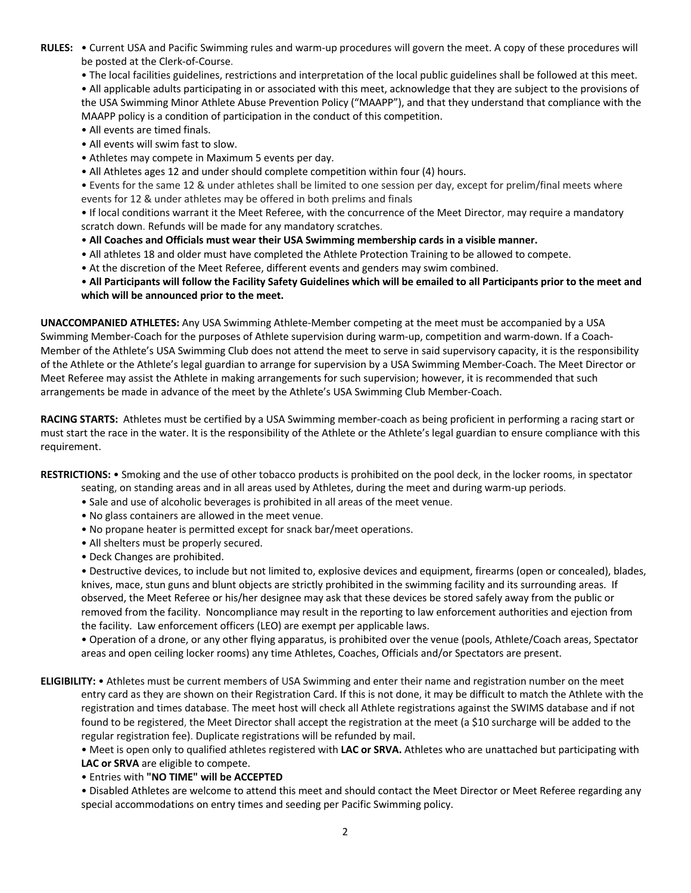- **RULES:** Current USA and Pacific Swimming rules and warm-up procedures will govern the meet. A copy of these procedures will be posted at the Clerk-of-Course.
	- The local facilities guidelines, restrictions and interpretation of the local public guidelines shall be followed at this meet. • All applicable adults participating in or associated with this meet, acknowledge that they are subject to the provisions of the USA Swimming Minor Athlete Abuse Prevention Policy ("MAAPP"), and that they understand that compliance with the MAAPP policy is a condition of participation in the conduct of this competition.
	- All events are timed finals.
	- All events will swim fast to slow.
	- Athletes may compete in Maximum 5 events per day.
	- All Athletes ages 12 and under should complete competition within four (4) hours.

• Events for the same 12 & under athletes shall be limited to one session per day, except for prelim/final meets where events for 12 & under athletes may be offered in both prelims and finals

• If local conditions warrant it the Meet Referee, with the concurrence of the Meet Director, may require a mandatory scratch down. Refunds will be made for any mandatory scratches.

- **All Coaches and Officials must wear their USA Swimming membership cards in a visible manner.**
- All athletes 18 and older must have completed the Athlete Protection Training to be allowed to compete.
- At the discretion of the Meet Referee, different events and genders may swim combined.

• **All Participants will follow the Facility Safety Guidelines which will be emailed to all Participants prior to the meet and which will be announced prior to the meet.** 

**UNACCOMPANIED ATHLETES:** Any USA Swimming Athlete-Member competing at the meet must be accompanied by a USA Swimming Member-Coach for the purposes of Athlete supervision during warm-up, competition and warm-down. If a Coach-Member of the Athlete's USA Swimming Club does not attend the meet to serve in said supervisory capacity, it is the responsibility of the Athlete or the Athlete's legal guardian to arrange for supervision by a USA Swimming Member-Coach. The Meet Director or Meet Referee may assist the Athlete in making arrangements for such supervision; however, it is recommended that such arrangements be made in advance of the meet by the Athlete's USA Swimming Club Member-Coach.

**RACING STARTS:** Athletes must be certified by a USA Swimming member-coach as being proficient in performing a racing start or must start the race in the water. It is the responsibility of the Athlete or the Athlete's legal guardian to ensure compliance with this requirement.

**RESTRICTIONS:** • Smoking and the use of other tobacco products is prohibited on the pool deck, in the locker rooms, in spectator seating, on standing areas and in all areas used by Athletes, during the meet and during warm-up periods.

- Sale and use of alcoholic beverages is prohibited in all areas of the meet venue.
- No glass containers are allowed in the meet venue.
- No propane heater is permitted except for snack bar/meet operations.
- All shelters must be properly secured.
- Deck Changes are prohibited.

• Destructive devices, to include but not limited to, explosive devices and equipment, firearms (open or concealed), blades, knives, mace, stun guns and blunt objects are strictly prohibited in the swimming facility and its surrounding areas. If observed, the Meet Referee or his/her designee may ask that these devices be stored safely away from the public or removed from the facility. Noncompliance may result in the reporting to law enforcement authorities and ejection from the facility. Law enforcement officers (LEO) are exempt per applicable laws.

• Operation of a drone, or any other flying apparatus, is prohibited over the venue (pools, Athlete/Coach areas, Spectator areas and open ceiling locker rooms) any time Athletes, Coaches, Officials and/or Spectators are present.

**ELIGIBILITY:** • Athletes must be current members of USA Swimming and enter their name and registration number on the meet entry card as they are shown on their Registration Card. If this is not done, it may be difficult to match the Athlete with the registration and times database. The meet host will check all Athlete registrations against the SWIMS database and if not found to be registered, the Meet Director shall accept the registration at the meet (a \$10 surcharge will be added to the regular registration fee). Duplicate registrations will be refunded by mail.

• Meet is open only to qualified athletes registered with **LAC or SRVA.** Athletes who are unattached but participating with **LAC or SRVA** are eligible to compete.

• Entries with **"NO TIME" will be ACCEPTED** 

• Disabled Athletes are welcome to attend this meet and should contact the Meet Director or Meet Referee regarding any special accommodations on entry times and seeding per Pacific Swimming policy.